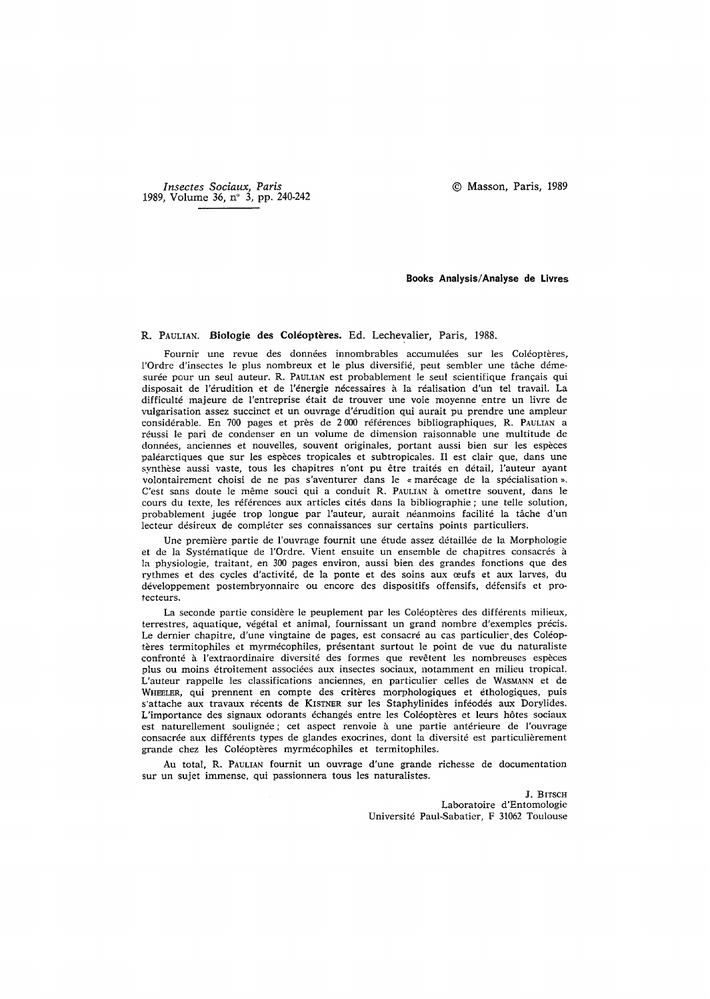*Insectes Sociaux, Paris*  1989, Volume 36, n° 3, pp. 240-242 9 Masson, Paris, 1989

## **Books Analysis/Analyse de Livres**

## R. PAULIAN. Biologie des Coléoptères. Ed. Lechevalier, Paris, 1988.

Fournir une revue des données innombrables accumulées sur les Coléoptères, l'Ordre d'insectes le plus nombreux et le plus diversifié, peut sembler une tâche démesurée pour un seul auteur. R. PAULIAN est probablement le seul scientifique français qui disposait de l'érudition et de l'énergie nécessaires à la réalisation d'un tel travail. La difficult6 majeure de l'entreprise 4tait de trouver une vole moyenne entre un livre de vulgarisation assez succinct et un ouvrage d'6rudition qui aurait pu prendre une ampleur considérable. En 700 pages et près de 2000 références bibliographiques, R. PAULIAN a réussi le pari de condenser en un volume de dimension raisonnable une multitude de données, anciennes et nouvelles, souvent originales, portant aussi bien sur les espèces paléarctiques que sur les espèces tropicales et subtropicales. Il est clair que, dans une synthèse aussi vaste, tous les chapitres n'ont pu être traités en détail, l'auteur ayant volontairement choisi de ne pas s'aventurer dans le « marécage de la spécialisation ». C'est sans doute le même souci qui a conduit R. PAULIAN à omettre souvent, dans le cours du texte, les références aux articles cités dans la bibliographie ; une telle solution, probablement jugée trop longue par l'auteur, aurait néanmoins facilité la tâche d'un lecteur désireux de compléter ses connaissances sur certains points particuliers.

Une première partie de l'ouvrage fournit une étude assez détaillée de la Morphologie et de la Systématique de l'Ordre. Vient ensuite un ensemble de chapitres consacrés à la physiologie, traitant, en 300 pages environ, aussi bien des grandes fonctions que des rythmes et des cycles d'activité, de la ponte et des soins aux œufs et aux larves, du développement postembryonnaire ou encore des dispositifs offensifs, défensifs et protecteurs.

La seconde partie considère le peuplement par les Coléoptères des différents milieux, terrestres, aquatique, végétal et animal, fournissant un grand nombre d'exemples précis. Le dernier chapitre, d'une vingtaine de pages, est consacré au cas particulier des Coléoptères termitophiles et myrmécophiles, présentant surtout le point de vue du naturaliste confronté à l'extraordinaire diversité des formes que revêtent les nombreuses espèces plus ou moins 6troitement associ6es aux insectes sociaux, notamment en milieu tropical. L'auteur rappelle les classifications anciennes, en particulier celles de WASMANN et de WHEELER, qui prennent en compte des critères morphologiques et éthologiques, puis s'attache aux travaux récents de KISTNER sur les Staphylinides inféodés aux Dorylides. L'importance des signaux odorants échangés entre les Coléoptères et leurs hôtes sociaux est naturellement soulignée; cet aspect renvoie à une partie antérieure de l'ouvrage consacrée aux différents types de glandes exocrines, dont la diversité est particulièrement grande chez les Coléoptères myrmécophiles et termitophiles.

Au total, R. PAULIAN fournit un ouvrage d'une grande richesse de documentation sur un sujet immense, qui passionnera tous les naturalistes.

> J. BITSCH Laboratoire d'Entomologie Universit4 Paul-Sabatier, F 31062 Toulouse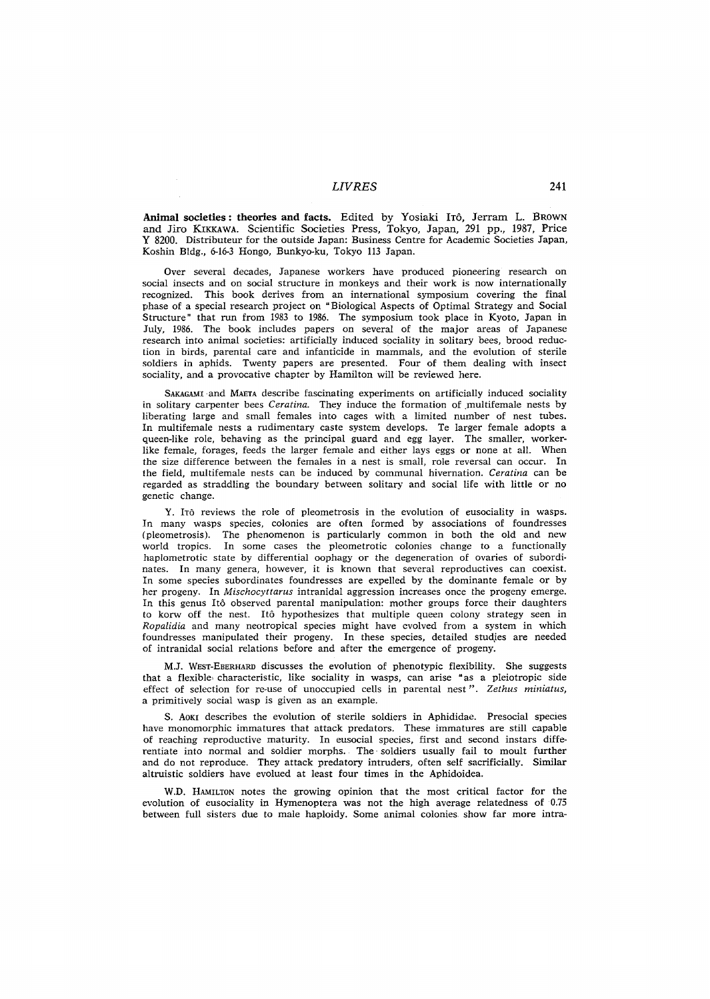## *LIVRES* 241

Animal societies: theories and facts. Edited by Yosiaki ITô, Jerram L. BROWN and Jiro KIKKAWA. Scientific Societies Press, Tokyo, Japan, 291 pp., 1987, Price Y 8200. Distributeur for the outside Japan: Business Centre for Academic Societies Japan, Koshin Bldg., 6-163 Hongo, Bunkyo-ku, Tokyo 113 Japan.

Over several decades, Japanese workers have produced pioneering research on social insects and on social structure in monkeys and their work is now internationally recognized. This book derives from an international symposium covering the final phase of a special research project on "Biological Aspects of Optimal Strategy and Social Structure" that run from 1983 to 1986. The symposium took place in Kyoto, Japan in July, 1986. The book includes papers on several of the major areas of Japanese research into animal societies: artificially induced sociality in solitary bees, brood reduction in birds, parental care and infanticide in mammals, and the evolution of sterile soldiers in aphids. Twenty papers are presented. Four of them dealing with insect sociality, and a provocative chapter by Hamilton will be reviewed here.

SAKAGAMI and MAETA describe fascinating experiments on artificially induced sociality in solitary carpenter bees *Ceratina*. They induce the formation of multifemale nests by liberating large and small females into cages with a limited number of nest tubes. In multifemale nests a rudimentary caste system develops. Te larger female adopts a queen-like role, behaving as the principal guard and egg layer. The smaller, workerlike female, forages, feeds the larger female and either lays eggs or none at all. When the size difference between the females in a nest is small, role reversal can occur. In the field, multifemale nests can be induced by communal hivernation. *Ceratina* can be regarded as straddling the boundary between solitary and social life with little or no genetic change.

Y. IT6 reviews the role of pleometrosis in the evolution of eusociality in wasps. In many wasps species, colonies are often formed by associations of foundresses (pleometrosis). The phenomenon is particularly common in both the old and new world tropics. In some cases the pleometrotic colonies change to a functionally haplometrotic state by differential oophagy or the degeneration of ovaries of subordinates. In many genera, however, it is known that several reproductives can coexist. In some species subordinates foundresses are expelled by the dominante female or by her progeny. In *Mischocyttarus* intranidal aggression increases once the progeny emerge. In this genus It6 observed parental manipulation: mother groups force their daughters to korw off the nest. It6 hypothesizes that multiple queen colony strategy seen in *Ropalidia* and many neotropical species might have evolved from a system in which foundresses manipulated their progeny. In these species, detailed studies are needed of intranidal social relations before and after the emergence of progeny.

**M.J.** WEsT-EBERHARD discusses the evolution of phenotypic flexibility. She suggests that a flexible characteristic, like sociality in wasps, can arise "as a pleiotropic side effect of selection for re-use of unoccupied cells in parental nest *". Zethus miniatus,*  a primitively social wasp is given as an example.

S. AOKI describes the evolution of sterile soldiers in Aphididae. Presocial species have monomorphic immatures that attack predators. These immatures are still capable of reaching reproductive maturity. In eusocial species, first and second instars differentiate into normal and soldier morphs. The soldiers usually fail to moult further and do not reproduce. They attack predatory intruders, often self sacrificially. Similar altruistic soldiers have evolued at least four times in the Aphidoidea.

W.D. HAMILTON notes the growing opinion that the most critical factor for the evolution of eusociality in Hymenoptera was not the high average relatedness of 0.75 between full sisters due to male haploidy. Some animal colonies show far more intra-